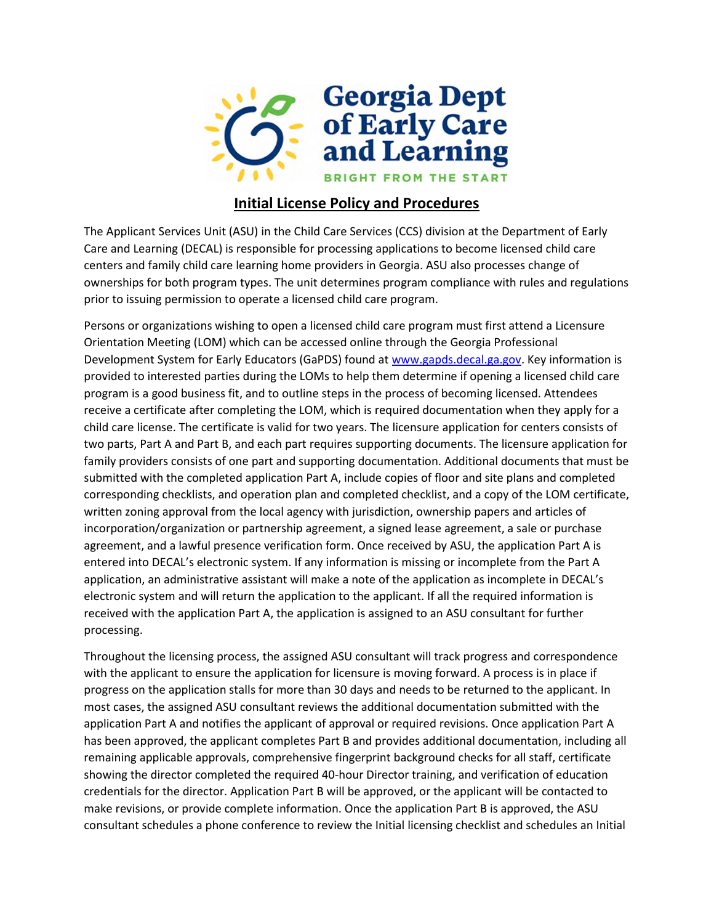

## **Initial License Policy and Procedures**

The Applicant Services Unit (ASU) in the Child Care Services (CCS) division at the Department of Early Care and Learning (DECAL) is responsible for processing applications to become licensed child care centers and family child care learning home providers in Georgia. ASU also processes change of ownerships for both program types. The unit determines program compliance with rules and regulations prior to issuing permission to operate a licensed child care program.

Persons or organizations wishing to open a licensed child care program must first attend a Licensure Orientation Meeting (LOM) which can be accessed online through the Georgia Professional Development System for Early Educators (GaPDS) found at [www.gapds.decal.ga.gov.](http://www.gapds.decal.ga.gov/) Key information is provided to interested parties during the LOMs to help them determine if opening a licensed child care program is a good business fit, and to outline steps in the process of becoming licensed. Attendees receive a certificate after completing the LOM, which is required documentation when they apply for a child care license. The certificate is valid for two years. The licensure application for centers consists of two parts, Part A and Part B, and each part requires supporting documents. The licensure application for family providers consists of one part and supporting documentation. Additional documents that must be submitted with the completed application Part A, include copies of floor and site plans and completed corresponding checklists, and operation plan and completed checklist, and a copy of the LOM certificate, written zoning approval from the local agency with jurisdiction, ownership papers and articles of incorporation/organization or partnership agreement, a signed lease agreement, a sale or purchase agreement, and a lawful presence verification form. Once received by ASU, the application Part A is entered into DECAL's electronic system. If any information is missing or incomplete from the Part A application, an administrative assistant will make a note of the application as incomplete in DECAL's electronic system and will return the application to the applicant. If all the required information is received with the application Part A, the application is assigned to an ASU consultant for further processing.

Throughout the licensing process, the assigned ASU consultant will track progress and correspondence with the applicant to ensure the application for licensure is moving forward. A process is in place if progress on the application stalls for more than 30 days and needs to be returned to the applicant. In most cases, the assigned ASU consultant reviews the additional documentation submitted with the application Part A and notifies the applicant of approval or required revisions. Once application Part A has been approved, the applicant completes Part B and provides additional documentation, including all remaining applicable approvals, comprehensive fingerprint background checks for all staff, certificate showing the director completed the required 40-hour Director training, and verification of education credentials for the director. Application Part B will be approved, or the applicant will be contacted to make revisions, or provide complete information. Once the application Part B is approved, the ASU consultant schedules a phone conference to review the Initial licensing checklist and schedules an Initial